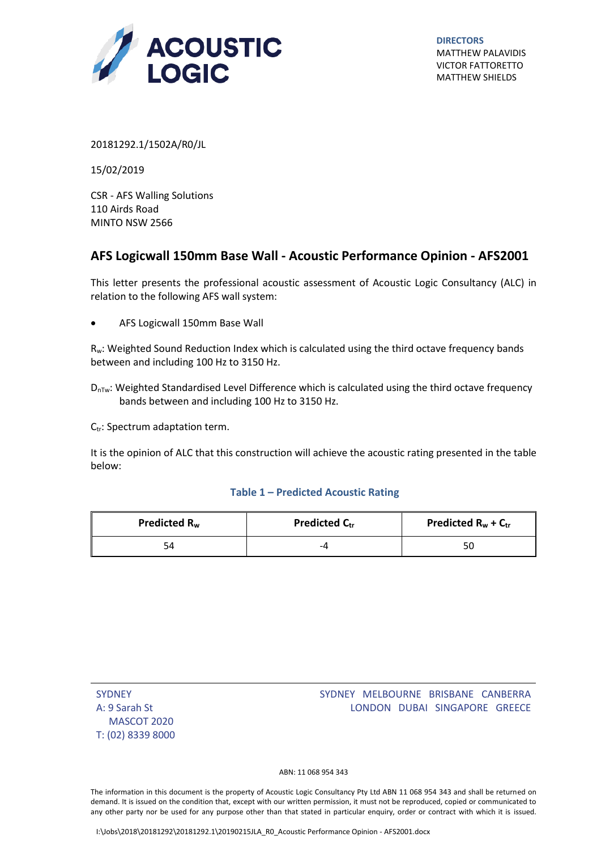

**DIRECTORS** MATTHEW PALAVIDIS VICTOR FATTORETTO MATTHEW SHIELDS

20181292.1/1502A/R0/JL

15/02/2019

CSR - AFS Walling Solutions 110 Airds Road MINTO NSW 2566

## $\overline{\mathbf{G}}$ **AFS Logicwall 150mm Base Wall - Acoustic Performance Opinion - AFS2001**

This letter presents the professional acoustic assessment of Acoustic Logic Consultancy (ALC) in relation to the following AFS wall system:

AFS Logicwall 150mm Base Wall

Rw: Weighted Sound Reduction Index which is calculated using the third octave frequency bands between and including 100 Hz to 3150 Hz.

 $D_{\text{nTw}}$ : Weighted Standardised Level Difference which is calculated using the third octave frequency bands between and including 100 Hz to 3150 Hz.

 $C_{tr}$ : Spectrum adaptation term.

It is the opinion of ALC that this construction will achieve the acoustic rating presented in the table below:

## **Table 1 – Predicted Acoustic Rating**

| Predicted R <sub>w</sub> | <b>Predicted Ctr</b> | Predicted $R_w + C_{tr}$ |
|--------------------------|----------------------|--------------------------|
| 54                       | -4                   | 50                       |

| <b>SYDNEY</b>     |
|-------------------|
| A: 9 Sarah St     |
| MASCOT 2020       |
| T: (02) 8339 8000 |

## SYDNEY MELBOURNE BRISBANE CANBERRA LONDON DUBAI SINGAPORE GREECE

ABN: 11 068 954 343

The information in this document is the property of Acoustic Logic Consultancy Pty Ltd ABN 11 068 954 343 and shall be returned on demand. It is issued on the condition that, except with our written permission, it must not be reproduced, copied or communicated to any other party nor be used for any purpose other than that stated in particular enquiry, order or contract with which it is issued.